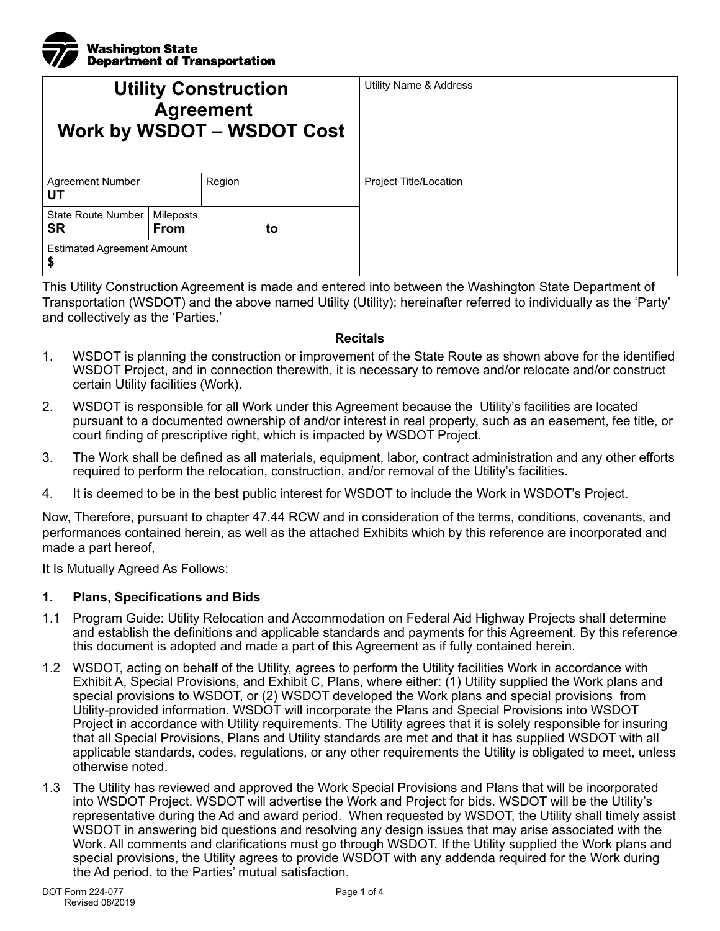| <b>V</b> ashington State<br><b>V</b> Department of Tran<br><b>Department of Transportation</b> |
|------------------------------------------------------------------------------------------------|

| <b>Utility Construction</b><br><b>Agreement</b><br><b>Work by WSDOT - WSDOT Cost</b> |                          |        | <b>Utility Name &amp; Address</b> |
|--------------------------------------------------------------------------------------|--------------------------|--------|-----------------------------------|
| <b>Agreement Number</b><br>UT                                                        |                          | Region | Project Title/Location            |
| <b>State Route Number</b><br>SR                                                      | Mileposts<br><b>From</b> | to     |                                   |
| <b>Estimated Agreement Amount</b><br>\$                                              |                          |        |                                   |

This Utility Construction Agreement is made and entered into between the Washington State Department of Transportation (WSDOT) and the above named Utility (Utility); hereinafter referred to individually as the 'Party' and collectively as the 'Parties.'

#### **Recitals**

- 1. WSDOT is planning the construction or improvement of the State Route as shown above for the identified WSDOT Project, and in connection therewith, it is necessary to remove and/or relocate and/or construct certain Utility facilities (Work).
- 2. WSDOT is responsible for all Work under this Agreement because the Utility's facilities are located pursuant to a documented ownership of and/or interest in real property, such as an easement, fee title, or court finding of prescriptive right, which is impacted by WSDOT Project.
- 3. The Work shall be defined as all materials, equipment, labor, contract administration and any other efforts required to perform the relocation, construction, and/or removal of the Utility's facilities.
- 4. It is deemed to be in the best public interest for WSDOT to include the Work in WSDOT's Project.

Now, Therefore, pursuant to chapter 47.44 RCW and in consideration of the terms, conditions, covenants, and performances contained herein, as well as the attached Exhibits which by this reference are incorporated and made a part hereof,

It Is Mutually Agreed As Follows:

#### **1. Plans, Specifications and Bids**

- 1.1 Program Guide: Utility Relocation and Accommodation on Federal Aid Highway Projects shall determine and establish the definitions and applicable standards and payments for this Agreement. By this reference this document is adopted and made a part of this Agreement as if fully contained herein.
- 1.2 WSDOT, acting on behalf of the Utility, agrees to perform the Utility facilities Work in accordance with Exhibit A, Special Provisions, and Exhibit C, Plans, where either: (1) Utility supplied the Work plans and special provisions to WSDOT, or (2) WSDOT developed the Work plans and special provisions from Utility-provided information. WSDOT will incorporate the Plans and Special Provisions into WSDOT Project in accordance with Utility requirements. The Utility agrees that it is solely responsible for insuring that all Special Provisions, Plans and Utility standards are met and that it has supplied WSDOT with all applicable standards, codes, regulations, or any other requirements the Utility is obligated to meet, unless otherwise noted.
- 1.3 The Utility has reviewed and approved the Work Special Provisions and Plans that will be incorporated into WSDOT Project. WSDOT will advertise the Work and Project for bids. WSDOT will be the Utility's representative during the Ad and award period. When requested by WSDOT, the Utility shall timely assist WSDOT in answering bid questions and resolving any design issues that may arise associated with the Work. All comments and clarifications must go through WSDOT. If the Utility supplied the Work plans and special provisions, the Utility agrees to provide WSDOT with any addenda required for the Work during the Ad period, to the Parties' mutual satisfaction.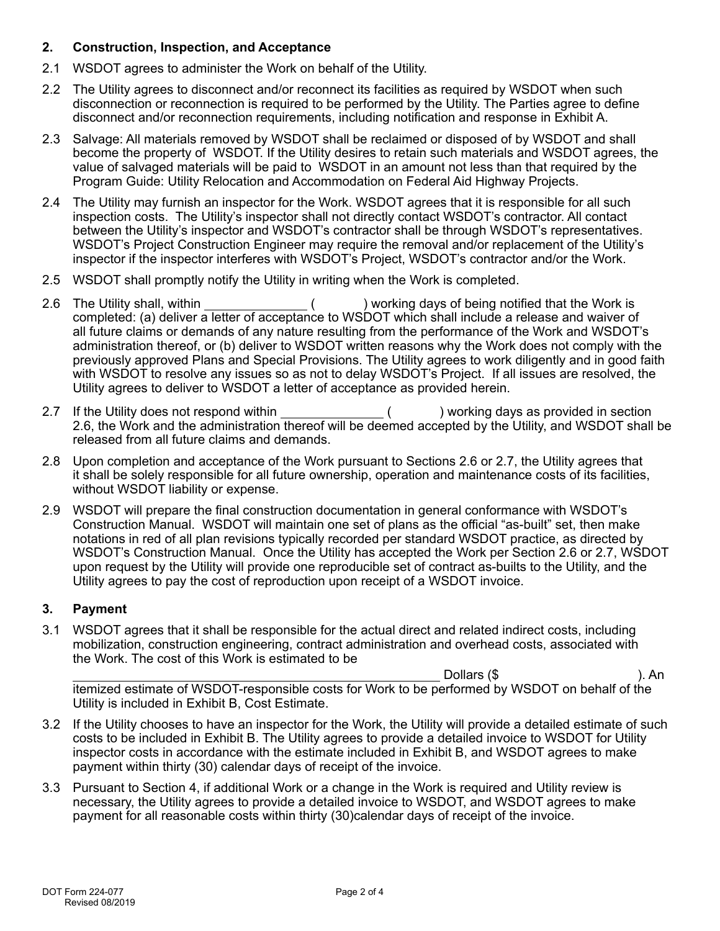## **2. Construction, Inspection, and Acceptance**

- 2.1 WSDOT agrees to administer the Work on behalf of the Utility.
- 2.2 The Utility agrees to disconnect and/or reconnect its facilities as required by WSDOT when such disconnection or reconnection is required to be performed by the Utility. The Parties agree to define disconnect and/or reconnection requirements, including notification and response in Exhibit A.
- 2.3 Salvage: All materials removed by WSDOT shall be reclaimed or disposed of by WSDOT and shall become the property of WSDOT. If the Utility desires to retain such materials and WSDOT agrees, the value of salvaged materials will be paid to WSDOT in an amount not less than that required by the Program Guide: Utility Relocation and Accommodation on Federal Aid Highway Projects.
- 2.4 The Utility may furnish an inspector for the Work. WSDOT agrees that it is responsible for all such inspection costs. The Utility's inspector shall not directly contact WSDOT's contractor. All contact between the Utility's inspector and WSDOT's contractor shall be through WSDOT's representatives. WSDOT's Project Construction Engineer may require the removal and/or replacement of the Utility's inspector if the inspector interferes with WSDOT's Project, WSDOT's contractor and/or the Work.
- 2.5 WSDOT shall promptly notify the Utility in writing when the Work is completed.
- 2.6 The Utility shall, within ( ) working days of being notified that the Work is completed: (a) deliver a letter of acceptance to WSDOT which shall include a release and waiver of all future claims or demands of any nature resulting from the performance of the Work and WSDOT's administration thereof, or (b) deliver to WSDOT written reasons why the Work does not comply with the previously approved Plans and Special Provisions. The Utility agrees to work diligently and in good faith with WSDOT to resolve any issues so as not to delay WSDOT's Project. If all issues are resolved, the Utility agrees to deliver to WSDOT a letter of acceptance as provided herein.
- 2.7 If the Utility does not respond within  $($ ) working days as provided in section 2.6, the Work and the administration thereof will be deemed accepted by the Utility, and WSDOT shall be released from all future claims and demands.
- 2.8 Upon completion and acceptance of the Work pursuant to Sections 2.6 or 2.7, the Utility agrees that it shall be solely responsible for all future ownership, operation and maintenance costs of its facilities, without WSDOT liability or expense.
- 2.9 WSDOT will prepare the final construction documentation in general conformance with WSDOT's Construction Manual. WSDOT will maintain one set of plans as the official "as-built" set, then make notations in red of all plan revisions typically recorded per standard WSDOT practice, as directed by WSDOT's Construction Manual. Once the Utility has accepted the Work per Section 2.6 or 2.7, WSDOT upon request by the Utility will provide one reproducible set of contract as-builts to the Utility, and the Utility agrees to pay the cost of reproduction upon receipt of a WSDOT invoice.

# **3. Payment**

3.1 WSDOT agrees that it shall be responsible for the actual direct and related indirect costs, including mobilization, construction engineering, contract administration and overhead costs, associated with the Work. The cost of this Work is estimated to be

Dollars (\$ ). An itemized estimate of WSDOT-responsible costs for Work to be performed by WSDOT on behalf of the Utility is included in Exhibit B, Cost Estimate.

- 3.2 If the Utility chooses to have an inspector for the Work, the Utility will provide a detailed estimate of such costs to be included in Exhibit B. The Utility agrees to provide a detailed invoice to WSDOT for Utility inspector costs in accordance with the estimate included in Exhibit B, and WSDOT agrees to make payment within thirty (30) calendar days of receipt of the invoice.
- 3.3 Pursuant to Section 4, if additional Work or a change in the Work is required and Utility review is necessary, the Utility agrees to provide a detailed invoice to WSDOT, and WSDOT agrees to make payment for all reasonable costs within thirty (30)calendar days of receipt of the invoice.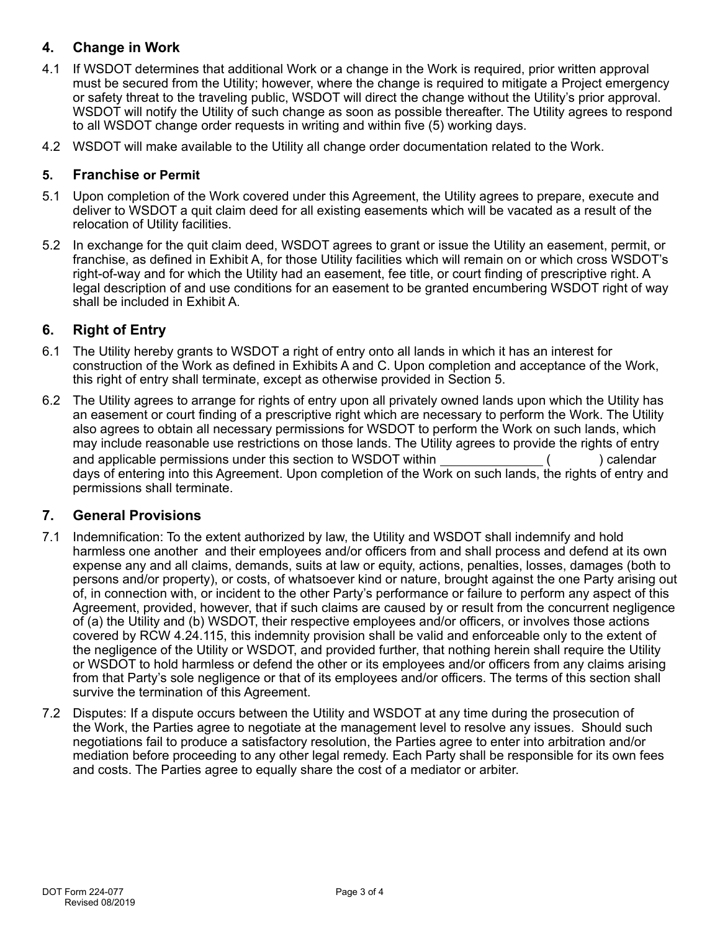## **4. Change in Work**

- 4.1 If WSDOT determines that additional Work or a change in the Work is required, prior written approval must be secured from the Utility; however, where the change is required to mitigate a Project emergency or safety threat to the traveling public, WSDOT will direct the change without the Utility's prior approval. WSDOT will notify the Utility of such change as soon as possible thereafter. The Utility agrees to respond to all WSDOT change order requests in writing and within five (5) working days.
- 4.2 WSDOT will make available to the Utility all change order documentation related to the Work.

## **5. Franchise or Permit**

- 5.1 Upon completion of the Work covered under this Agreement, the Utility agrees to prepare, execute and deliver to WSDOT a quit claim deed for all existing easements which will be vacated as a result of the relocation of Utility facilities.
- 5.2 In exchange for the quit claim deed, WSDOT agrees to grant or issue the Utility an easement, permit, or franchise, as defined in Exhibit A, for those Utility facilities which will remain on or which cross WSDOT's right-of-way and for which the Utility had an easement, fee title, or court finding of prescriptive right. A legal description of and use conditions for an easement to be granted encumbering WSDOT right of way shall be included in Exhibit A.

## **6. Right of Entry**

- 6.1 The Utility hereby grants to WSDOT a right of entry onto all lands in which it has an interest for construction of the Work as defined in Exhibits A and C. Upon completion and acceptance of the Work, this right of entry shall terminate, except as otherwise provided in Section 5.
- 6.2 The Utility agrees to arrange for rights of entry upon all privately owned lands upon which the Utility has an easement or court finding of a prescriptive right which are necessary to perform the Work. The Utility also agrees to obtain all necessary permissions for WSDOT to perform the Work on such lands, which may include reasonable use restrictions on those lands. The Utility agrees to provide the rights of entry and applicable permissions under this section to WSDOT within  $( )$  calendar days of entering into this Agreement. Upon completion of the Work on such lands, the rights of entry and permissions shall terminate.

## **7. General Provisions**

- 7.1 Indemnification: To the extent authorized by law, the Utility and WSDOT shall indemnify and hold harmless one another and their employees and/or officers from and shall process and defend at its own expense any and all claims, demands, suits at law or equity, actions, penalties, losses, damages (both to persons and/or property), or costs, of whatsoever kind or nature, brought against the one Party arising out of, in connection with, or incident to the other Party's performance or failure to perform any aspect of this Agreement, provided, however, that if such claims are caused by or result from the concurrent negligence of (a) the Utility and (b) WSDOT, their respective employees and/or officers, or involves those actions covered by RCW 4.24.115, this indemnity provision shall be valid and enforceable only to the extent of the negligence of the Utility or WSDOT, and provided further, that nothing herein shall require the Utility or WSDOT to hold harmless or defend the other or its employees and/or officers from any claims arising from that Party's sole negligence or that of its employees and/or officers. The terms of this section shall survive the termination of this Agreement.
- 7.2 Disputes: If a dispute occurs between the Utility and WSDOT at any time during the prosecution of the Work, the Parties agree to negotiate at the management level to resolve any issues. Should such negotiations fail to produce a satisfactory resolution, the Parties agree to enter into arbitration and/or mediation before proceeding to any other legal remedy. Each Party shall be responsible for its own fees and costs. The Parties agree to equally share the cost of a mediator or arbiter.